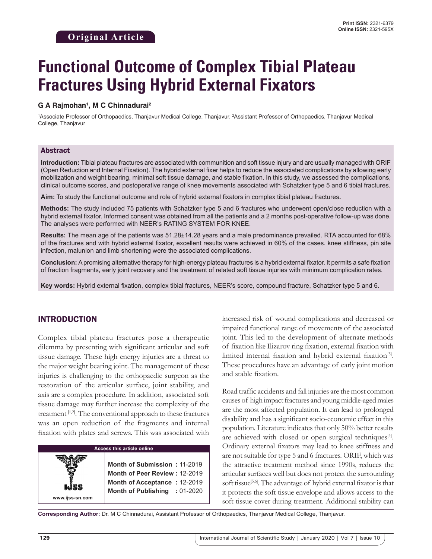# **Functional Outcome of Complex Tibial Plateau Fractures Using Hybrid External Fixators**

#### **G A Rajmohan1 , M C Chinnadurai2**

<sup>1</sup>Associate Professor of Orthopaedics, Thanjavur Medical College, Thanjavur, <sup>2</sup>Assistant Professor of Orthopaedics, Thanjavur Medical College, Thanjavur

#### Abstract

**Introduction:** Tibial plateau fractures are associated with communition and soft tissue injury and are usually managed with ORIF (Open Reduction and Internal Fixation). The hybrid external fixer helps to reduce the associated complications by allowing early mobilization and weight bearing, minimal soft tissue damage, and stable fixation. In this study, we assessed the complications, clinical outcome scores, and postoperative range of knee movements associated with Schatzker type 5 and 6 tibial fractures.

**Aim:** To study the functional outcome and role of hybrid external fixators in complex tibial plateau fractures**.**

**Methods:** The study included 75 patients with Schatzker type 5 and 6 fractures who underwent open/close reduction with a hybrid external fixator. Informed consent was obtained from all the patients and a 2 months post-operative follow-up was done. The analyses were performed with NEER's RATING SYSTEM FOR KNEE.

**Results:** The mean age of the patients was 51.28±14.28 years and a male predominance prevailed. RTA accounted for 68% of the fractures and with hybrid external fixator, excellent results were achieved in 60% of the cases. knee stiffness, pin site infection, malunion and limb shortening were the associated complications.

**Conclusion:** A promising alternative therapy for high-energy plateau fractures is a hybrid external fixator. It permits a safe fixation of fraction fragments, early joint recovery and the treatment of related soft tissue injuries with minimum complication rates.

**Key words:** Hybrid external fixation, complex tibial fractures, NEER's score, compound fracture, Schatzker type 5 and 6.

# INTRODUCTION

Complex tibial plateau fractures pose a therapeutic dilemma by presenting with significant articular and soft tissue damage. These high energy injuries are a threat to the major weight bearing joint. The management of these injuries is challenging to the orthopaedic surgeon as the restoration of the articular surface, joint stability, and axis are a complex procedure. In addition, associated soft tissue damage may further increase the complexity of the treatment [1,2]. The conventional approach to these fractures was an open reduction of the fragments and internal fixation with plates and screws. This was associated with

#### **Access this article online**

**Month of Submission :** 11-2019 **Month of Peer Review :** 12-2019 **Month of Acceptance :** 12-2019 **Month of Publishing :** 01-2020 increased risk of wound complications and decreased or impaired functional range of movements of the associated joint. This led to the development of alternate methods of fixation like Ilizarov ring fixation, external fixation with limited internal fixation and hybrid external fixation<sup>[3]</sup>. These procedures have an advantage of early joint motion and stable fixation.

Road traffic accidents and fall injuries are the most common causes of high impact fractures and young middle-aged males are the most affected population. It can lead to prolonged disability and has a significant socio-economic effect in this population. Literature indicates that only 50% better results are achieved with closed or open surgical techniques<sup>[4]</sup>. Ordinary external fixators may lead to knee stiffness and are not suitable for type 5 and 6 fractures. ORIF, which was the attractive treatment method since 1990s, reduces the articular surfaces well but does not protect the surrounding soft tissue<sup>[5,6]</sup>. The advantage of hybrid external fixator is that it protects the soft tissue envelope and allows access to the soft tissue cover during treatment. Additional stability can

**Corresponding Author:** Dr. M C Chinnadurai, Assistant Professor of Orthopaedics, Thanjavur Medical College, Thanjavur.

**www.ijss-sn.com**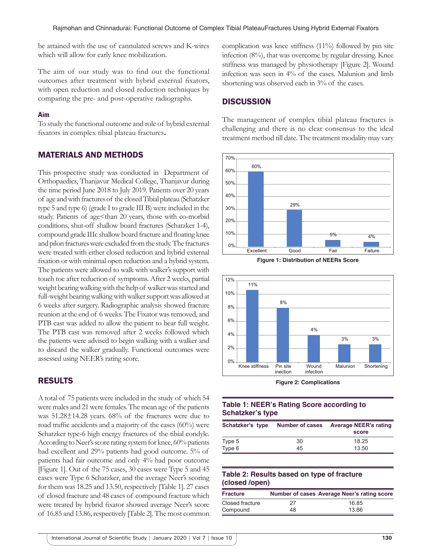be attained with the use of cannulated screws and K-wires which will allow for early knee mobilization.

The aim of our study was to find out the functional outcomes after treatment with hybrid external fixators, with open reduction and closed reduction techniques by comparing the pre- and post-operative radiographs.

#### **Aim**

To study the functional outcome and role of hybrid external fixators in complex tibial plateau fractures**.**

# MATERIALS AND METHODS

This prospective study was conducted in Department of Orthopaedics, Thanjavur Medical College, Thanjavur during the time period June 2018 to July 2019. Patients over 20 years of age and with fractures of the closed Tibial plateau (Schatzker type 5 and type 6) (grade I to grade III B) were included in the study. Patients of age<than 20 years, those with co-morbid conditions, shut-off shallow board fractures (Schatzker 1-4), compound grade IIIc shallow board fracture and floating knee and pilon fractures were excluded from the study. The fractures were treated with either closed reduction and hybrid external fixation or with minimal open reduction and a hybrid system. The patients were allowed to walk with walker's support with touch toe after reduction of symptoms. After 2 weeks, partial weight bearing walking with the help of walker was started and full-weight bearing walking with walker support was allowed at 6 weeks after surgery. Radiographic analysis showed fracture reunion at the end of 6 weeks. The Fixator was removed, and PTB cast was added to allow the patient to bear full weight. The PTB cast was removed after 2 weeks followed which the patients were advised to begin walking with a walker and to discard the walker gradually. Functional outcomes were assessed using NEER's rating score.

# RESULTS

A total of 75 patients were included in the study of which 54 were males and 21 were females. The mean age of the patients was 51.28±14.28 years. 68% of the fractures were due to road traffic accidents and a majority of the cases (60%) were Schatzker type-6 high energy fractures of the tibial condyle. According to Neer's score rating system for knee, 60% patients had excellent and 29% patients had good outcome. 5% of patients had fair outcome and only 4% had poor outcome [Figure 1]. Out of the 75 cases, 30 cases were Type 5 and 45 cases were Type 6 Schatzker, and the average Neer's scoring for them was 18.25 and 13.50, respectively [Table 1]. 27 cases of closed fracture and 48 cases of compound fracture which were treated by hybrid fixator showed average Neer's score of 16.85 and 13.86, respectively [Table 2]. The most common complication was knee stiffness (11%) followed by pin site infection (8%), that was overcome by regular dressing. Knee stiffness was managed by physiotherapy [Figure 2]. Wound infection was seen in 4% of the cases. Malunion and limb shortening was observed each in 3% of the cases.

# **DISCUSSION**

The management of complex tibial plateau fractures is challenging and there is no clear consensus to the ideal treatment method till date. The treatment modality may vary







**Figure 2: Complications**

#### **Table 1: NEER's Rating Score according to Schatzker's type**

| Schatzker's type | <b>Number of cases</b> | <b>Average NEER's rating</b><br>score |
|------------------|------------------------|---------------------------------------|
| Type 5           | 30                     | 18.25                                 |
| Type 6           | 45                     | 13.50                                 |

#### **Table 2: Results based on type of fracture (closed /open)**

| <b>Fracture</b> |    | Number of cases Average Neer's rating score |
|-----------------|----|---------------------------------------------|
| Closed fracture | 27 | 16.85                                       |
| Compound        | 48 | 13.86                                       |